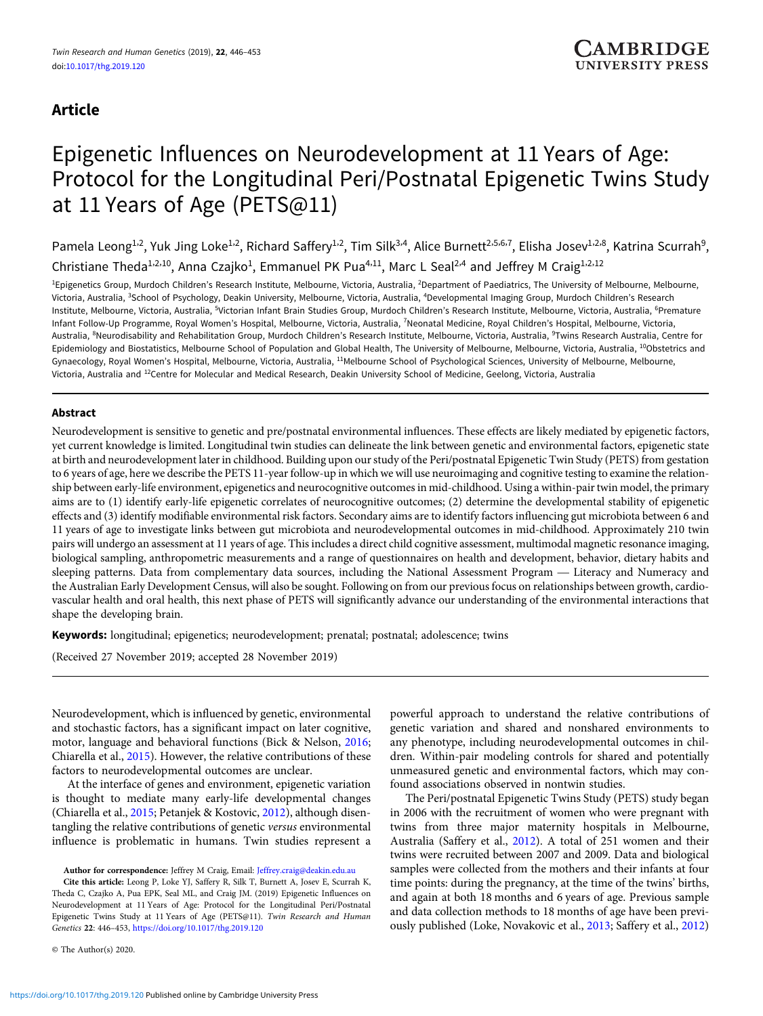# Article

# Epigenetic Influences on Neurodevelopment at 11 Years of Age: Protocol for the Longitudinal Peri/Postnatal Epigenetic Twins Study at 11 Years of Age (PETS@11)

Pamela Leong<sup>1,2</sup>, Yuk Jing Loke<sup>1,2</sup>, Richard Saffery<sup>1,2</sup>, Tim Silk<sup>3,4</sup>, Alice Burnett<sup>2,5,6,7</sup>, Elisha Josev<sup>1,2,8</sup>, Katrina Scurrah<sup>9</sup>,

Christiane Theda<sup>1,2,10</sup>, Anna Czajko<sup>1</sup>, Emmanuel PK Pua<sup>4,11</sup>, Marc L Seal<sup>2,4</sup> and Jeffrey M Craig<sup>1,2,12</sup>

<sup>1</sup>Epigenetics Group, Murdoch Children's Research Institute, Melbourne, Victoria, Australia, <sup>2</sup>Department of Paediatrics, The University of Melbourne, Melbourne, Victoria, Australia, <sup>3</sup>School of Psychology, Deakin University, Melbourne, Victoria, Australia, <sup>4</sup>Developmental Imaging Group, Murdoch Children's Research Institute, Melbourne, Victoria, Australia, <sup>s</sup>Victorian Infant Brain Studies Group, Murdoch Children's Research Institute, Melbourne, Victoria, Australia, <sup>6</sup>Premature Infant Follow-Up Programme, Royal Women's Hospital, Melbourne, Victoria, Australia, <sup>7</sup>Neonatal Medicine, Royal Children's Hospital, Melbourne, Victoria, Australia, <sup>8</sup>Neurodisability and Rehabilitation Group, Murdoch Children's Research Institute, Melbourne, Victoria, Australia, <sup>9</sup>Twins Research Australia, Centre for Epidemiology and Biostatistics, Melbourne School of Population and Global Health, The University of Melbourne, Melbourne, Victoria, Australia, <sup>10</sup>Obstetrics and Gynaecology, Royal Women's Hospital, Melbourne, Victoria, Australia, <sup>11</sup>Melbourne School of Psychological Sciences, University of Melbourne, Melbourne, Victoria, Australia and <sup>12</sup>Centre for Molecular and Medical Research, Deakin University School of Medicine, Geelong, Victoria, Australia

# Abstract

Neurodevelopment is sensitive to genetic and pre/postnatal environmental influences. These effects are likely mediated by epigenetic factors, yet current knowledge is limited. Longitudinal twin studies can delineate the link between genetic and environmental factors, epigenetic state at birth and neurodevelopment later in childhood. Building upon our study of the Peri/postnatal Epigenetic Twin Study (PETS) from gestation to 6 years of age, here we describe the PETS 11-year follow-up in which we will use neuroimaging and cognitive testing to examine the relationship between early-life environment, epigenetics and neurocognitive outcomes in mid-childhood. Using a within-pair twin model, the primary aims are to (1) identify early-life epigenetic correlates of neurocognitive outcomes; (2) determine the developmental stability of epigenetic effects and (3) identify modifiable environmental risk factors. Secondary aims are to identify factors influencing gut microbiota between 6 and The same (3) Refinity modifiable environmental risk ractors, occordary and are to Refinity ractors inhactioning gut intertotional octiviers of and<br>The same of age to investigate links between gut microbiota and neurodevelo pairs will undergo an assessment at 11 years of age. This includes a direct child cognitive assessment, multimodal magnetic resonance imaging, biological sampling, anthropometric measurements and a range of questionnaires on health and development, behavior, dietary habits and the Australian Early Development Census, will also be sought. Following on from our previous focus on relationships between growth, cardiovascular health and oral health, this next phase of PETS will significantly advance our understanding of the environmental interactions that shape the developing brain.

Keywords: longitudinal; epigenetics; neurodevelopment; prenatal; postnatal; adolescence; twins

(Received 27 November 2019; accepted 28 November 2019)

Neurodevelopment, which is influenced by genetic, environmental and stochastic factors, has a significant impact on later cognitive, motor, language and behavioral functions (Bick & Nelson, [2016](#page-6-0); Chiarella et al., [2015](#page-6-0)). However, the relative contributions of these factors to neurodevelopmental outcomes are unclear.

At the interface of genes and environment, epigenetic variation is thought to mediate many early-life developmental changes (Chiarella et al., [2015](#page-6-0); Petanjek & Kostovic, [2012](#page-7-0)), although disentangling the relative contributions of genetic versus environmental influence is problematic in humans. Twin studies represent a

Author for correspondence: Jeffrey M Craig, Email: [Jeffrey.craig@deakin.edu.au](mailto:Jeffrey.craig@deakin.edu.au)

Cite this article: Leong P, Loke YJ, Saffery R, Silk T, Burnett A, Josev E, Scurrah K, Theda C, Czajko A, Pua EPK, Seal ML, and Craig JM. (2019) Epigenetic Influences on Neurodevelopment at 11 Years of Age: Protocol for the Longitudinal Peri/Postnatal Epigenetic Twins Study at 11 Years of Age (PETS@11). Twin Research and Human Genetics 22: 446–453, <https://doi.org/10.1017/thg.2019.120>

© The Author(s) 2020.

powerful approach to understand the relative contributions of genetic variation and shared and nonshared environments to any phenotype, including neurodevelopmental outcomes in children. Within-pair modeling controls for shared and potentially unmeasured genetic and environmental factors, which may confound associations observed in nontwin studies.

The Peri/postnatal Epigenetic Twins Study (PETS) study began in 2006 with the recruitment of women who were pregnant with twins from three major maternity hospitals in Melbourne, Australia (Saffery et al., [2012](#page-7-0)). A total of 251 women and their twins were recruited between 2007 and 2009. Data and biological samples were collected from the mothers and their infants at four time points: during the pregnancy, at the time of the twins' births, and again at both 18 months and 6 years of age. Previous sample and data collection methods to 18 months of age have been previously published (Loke, Novakovic et al., [2013](#page-7-0); Saffery et al., [2012](#page-7-0))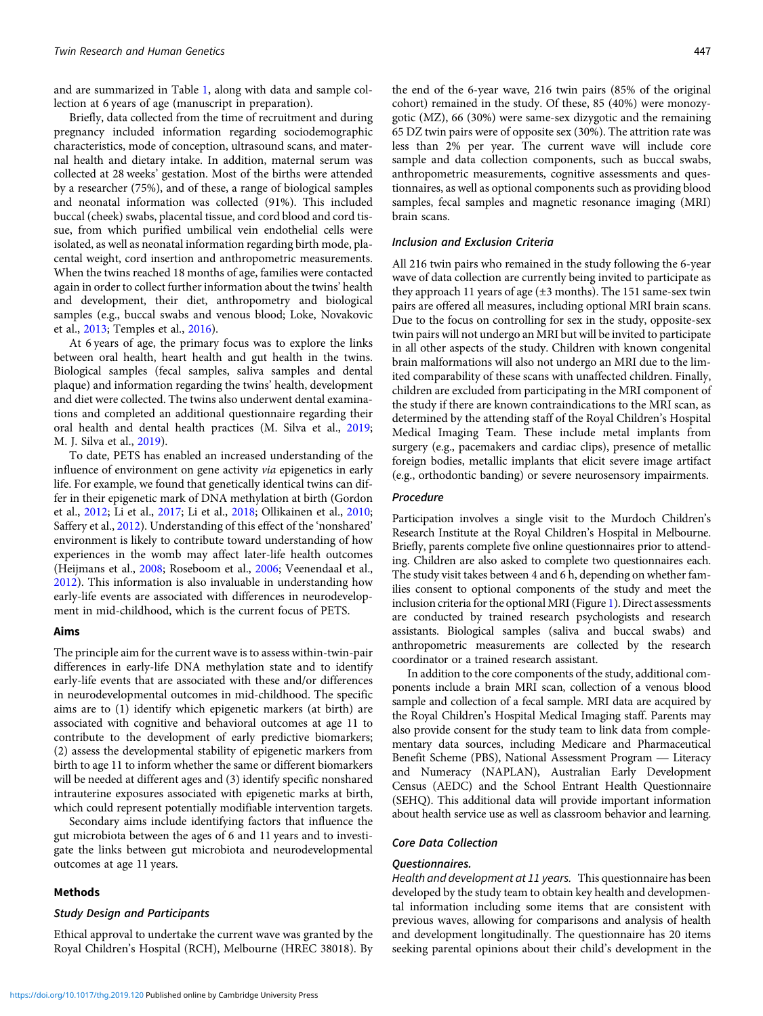and are summarized in Table [1](#page-2-0), along with data and sample collection at 6 years of age (manuscript in preparation).

Briefly, data collected from the time of recruitment and during pregnancy included information regarding sociodemographic characteristics, mode of conception, ultrasound scans, and maternal health and dietary intake. In addition, maternal serum was collected at 28 weeks' gestation. Most of the births were attended by a researcher (75%), and of these, a range of biological samples and neonatal information was collected (91%). This included buccal (cheek) swabs, placental tissue, and cord blood and cord tissue, from which purified umbilical vein endothelial cells were isolated, as well as neonatal information regarding birth mode, placental weight, cord insertion and anthropometric measurements. When the twins reached 18 months of age, families were contacted again in order to collect further information about the twins' health and development, their diet, anthropometry and biological samples (e.g., buccal swabs and venous blood; Loke, Novakovic et al., [2013](#page-7-0); Temples et al., [2016](#page-7-0)).

At 6 years of age, the primary focus was to explore the links between oral health, heart health and gut health in the twins. Biological samples (fecal samples, saliva samples and dental plaque) and information regarding the twins' health, development and diet were collected. The twins also underwent dental examinations and completed an additional questionnaire regarding their oral health and dental health practices (M. Silva et al., [2019;](#page-7-0) M. J. Silva et al., [2019\)](#page-7-0).

To date, PETS has enabled an increased understanding of the influence of environment on gene activity via epigenetics in early life. For example, we found that genetically identical twins can differ in their epigenetic mark of DNA methylation at birth (Gordon et al., [2012;](#page-7-0) Li et al., [2017](#page-7-0); Li et al., [2018](#page-7-0); Ollikainen et al., [2010;](#page-7-0) Saffery et al., [2012\)](#page-7-0). Understanding of this effect of the 'nonshared' environment is likely to contribute toward understanding of how experiences in the womb may affect later-life health outcomes (Heijmans et al., [2008](#page-7-0); Roseboom et al., [2006](#page-7-0); Veenendaal et al., [2012](#page-7-0)). This information is also invaluable in understanding how early-life events are associated with differences in neurodevelopment in mid-childhood, which is the current focus of PETS.

#### Aims

The principle aim for the current wave is to assess within-twin-pair differences in early-life DNA methylation state and to identify early-life events that are associated with these and/or differences in neurodevelopmental outcomes in mid-childhood. The specific aims are to (1) identify which epigenetic markers (at birth) are associated with cognitive and behavioral outcomes at age 11 to contribute to the development of early predictive biomarkers; (2) assess the developmental stability of epigenetic markers from birth to age 11 to inform whether the same or different biomarkers will be needed at different ages and (3) identify specific nonshared intrauterine exposures associated with epigenetic marks at birth, which could represent potentially modifiable intervention targets.

Secondary aims include identifying factors that influence the gut microbiota between the ages of 6 and 11 years and to investigate the links between gut microbiota and neurodevelopmental outcomes at age 11 years.

#### Methods

# Study Design and Participants

Ethical approval to undertake the current wave was granted by the Royal Children's Hospital (RCH), Melbourne (HREC 38018). By the end of the 6-year wave, 216 twin pairs (85% of the original cohort) remained in the study. Of these, 85 (40%) were monozygotic (MZ), 66 (30%) were same-sex dizygotic and the remaining 65 DZ twin pairs were of opposite sex (30%). The attrition rate was less than 2% per year. The current wave will include core sample and data collection components, such as buccal swabs, anthropometric measurements, cognitive assessments and questionnaires, as well as optional components such as providing blood samples, fecal samples and magnetic resonance imaging (MRI) brain scans.

#### Inclusion and Exclusion Criteria

All 216 twin pairs who remained in the study following the 6-year wave of data collection are currently being invited to participate as they approach 11 years of age (±3 months). The 151 same-sex twin pairs are offered all measures, including optional MRI brain scans. Due to the focus on controlling for sex in the study, opposite-sex twin pairs will not undergo an MRI but will be invited to participate in all other aspects of the study. Children with known congenital brain malformations will also not undergo an MRI due to the limited comparability of these scans with unaffected children. Finally, children are excluded from participating in the MRI component of the study if there are known contraindications to the MRI scan, as determined by the attending staff of the Royal Children's Hospital Medical Imaging Team. These include metal implants from surgery (e.g., pacemakers and cardiac clips), presence of metallic foreign bodies, metallic implants that elicit severe image artifact (e.g., orthodontic banding) or severe neurosensory impairments.

# Procedure

Participation involves a single visit to the Murdoch Children's Research Institute at the Royal Children's Hospital in Melbourne. Briefly, parents complete five online questionnaires prior to attending. Children are also asked to complete two questionnaires each. The study visit takes between 4 and 6 h, depending on whether families consent to optional components of the study and meet the inclusion criteria for the optional MRI (Figure [1](#page-3-0)). Direct assessments are conducted by trained research psychologists and research assistants. Biological samples (saliva and buccal swabs) and anthropometric measurements are collected by the research coordinator or a trained research assistant.

In addition to the core components of the study, additional components include a brain MRI scan, collection of a venous blood sample and collection of a fecal sample. MRI data are acquired by sample and conection of a fecal sample. MKI data are acquired by<br>the Royal Children's Hospital Medical Imaging staff. Parents may<br>also provide consent for the study team to link data from comple-<br>mentary data sources, incl also provide consent for the study team to link data from complementary data sources, including Medicare and Pharmaceutical and Numeracy (NAPLAN), Australian Early Development Census (AEDC) and the School Entrant Health Questionnaire (SEHQ). This additional data will provide important information about health service use as well as classroom behavior and learning.

#### Core Data Collection

### Questionnaires.

Health and development at 11 years. This questionnaire has been developed by the study team to obtain key health and developmental information including some items that are consistent with previous waves, allowing for comparisons and analysis of health and development longitudinally. The questionnaire has 20 items seeking parental opinions about their child's development in the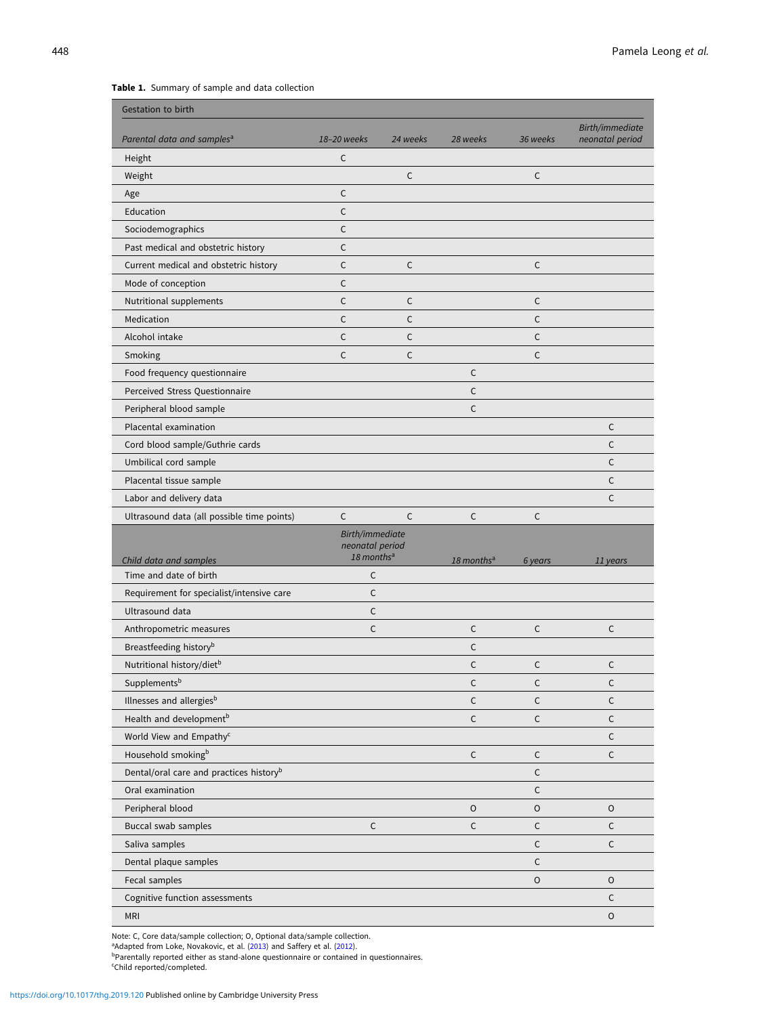# <span id="page-2-0"></span>Table 1. Summary of sample and data collection

| Gestation to birth                                  |                                    |          |                        |              |                 |
|-----------------------------------------------------|------------------------------------|----------|------------------------|--------------|-----------------|
|                                                     | 18-20 weeks                        |          | 28 weeks               |              | Birth/immediate |
| Parental data and samples <sup>a</sup>              |                                    | 24 weeks |                        | 36 weeks     | neonatal period |
| Height                                              | $\mathsf{C}$                       | C        |                        | C            |                 |
| Weight                                              | C                                  |          |                        |              |                 |
| Age                                                 | $\mathsf{C}$                       |          |                        |              |                 |
| Education                                           | $\mathsf{C}$                       |          |                        |              |                 |
| Sociodemographics                                   | C                                  |          |                        |              |                 |
| Past medical and obstetric history                  | $\mathsf{C}$                       |          |                        |              |                 |
| Current medical and obstetric history               | $\mathsf{C}$                       | C        |                        | $\mathsf{C}$ |                 |
| Mode of conception                                  | C                                  |          |                        |              |                 |
| Nutritional supplements                             |                                    | C        |                        | C            |                 |
| Medication                                          | $\mathsf{C}$                       | C        |                        | C            |                 |
| Alcohol intake                                      | $\mathsf{C}$                       | C        |                        | $\mathsf{C}$ |                 |
| Smoking                                             | C                                  | C        |                        | C            |                 |
| Food frequency questionnaire                        |                                    |          | $\mathsf{C}$           |              |                 |
| Perceived Stress Questionnaire                      |                                    |          | $\mathsf{C}$           |              |                 |
| Peripheral blood sample                             |                                    |          | $\mathsf{C}$           |              |                 |
| Placental examination                               |                                    |          |                        |              | C               |
| Cord blood sample/Guthrie cards                     |                                    |          |                        |              | $\mathsf{C}$    |
| Umbilical cord sample                               |                                    |          |                        |              | C               |
| Placental tissue sample                             |                                    |          |                        |              | C               |
| Labor and delivery data                             |                                    |          |                        |              | $\mathsf{C}$    |
| Ultrasound data (all possible time points)          | C                                  | C        | $\mathsf{C}$           | $\mathsf C$  |                 |
|                                                     |                                    |          |                        |              |                 |
|                                                     | Birth/immediate<br>neonatal period |          |                        |              |                 |
| Child data and samples                              | 18 months <sup>a</sup>             |          | 18 months <sup>a</sup> | 6 years      | 11 years        |
| Time and date of birth                              | C                                  |          |                        |              |                 |
| Requirement for specialist/intensive care           | C                                  |          |                        |              |                 |
| Ultrasound data                                     | C                                  |          |                        |              |                 |
| Anthropometric measures                             | $\mathsf{C}$                       |          | $\mathsf{C}$           | $\mathsf{C}$ | C               |
| Breastfeeding history <sup>b</sup>                  |                                    |          | C                      |              |                 |
| Nutritional history/diet <sup>b</sup>               |                                    |          | $\mathsf{C}$           | C            | C               |
| Supplementsb                                        |                                    |          | $\mathsf C$            | $\mathsf C$  | C               |
| Illnesses and allergiesb                            |                                    |          | $\mathsf C$            | $\mathsf C$  | C               |
| Health and development <sup>b</sup>                 |                                    |          | $\mathsf C$            | $\mathsf{C}$ | $\mathsf{C}$    |
| World View and Empathy <sup>c</sup>                 |                                    |          |                        |              | C               |
| Household smokingb                                  |                                    |          | $\mathsf C$            | $\mathsf C$  | $\mathsf C$     |
| Dental/oral care and practices history <sup>b</sup> |                                    |          |                        | $\mathsf C$  |                 |
| Oral examination                                    |                                    |          |                        | $\mathsf C$  |                 |
| Peripheral blood                                    |                                    |          | $\circ$                | $\mathsf O$  | $\mathsf O$     |
| Buccal swab samples                                 | $\mathsf C$                        |          | $\mathsf{C}$           | $\mathsf C$  | $\mathsf{C}$    |
| Saliva samples                                      |                                    |          |                        | $\mathsf C$  | C               |
| Dental plaque samples                               |                                    |          |                        | $\mathsf C$  |                 |
| Fecal samples                                       |                                    |          |                        | $\mathsf O$  | $\mathsf O$     |
| Cognitive function assessments                      |                                    |          |                        |              | C               |

Note: C, Core data/sample collection; O, Optional data/sample collection.<br><sup>a</sup>Adapted from Loke, Novakovic, et al. [\(2013\)](#page-7-0) and Saffery et al. ([2012](#page-7-0)).<br><sup>b</sup>Parentally reported either as stand-alone questionnaire or contained in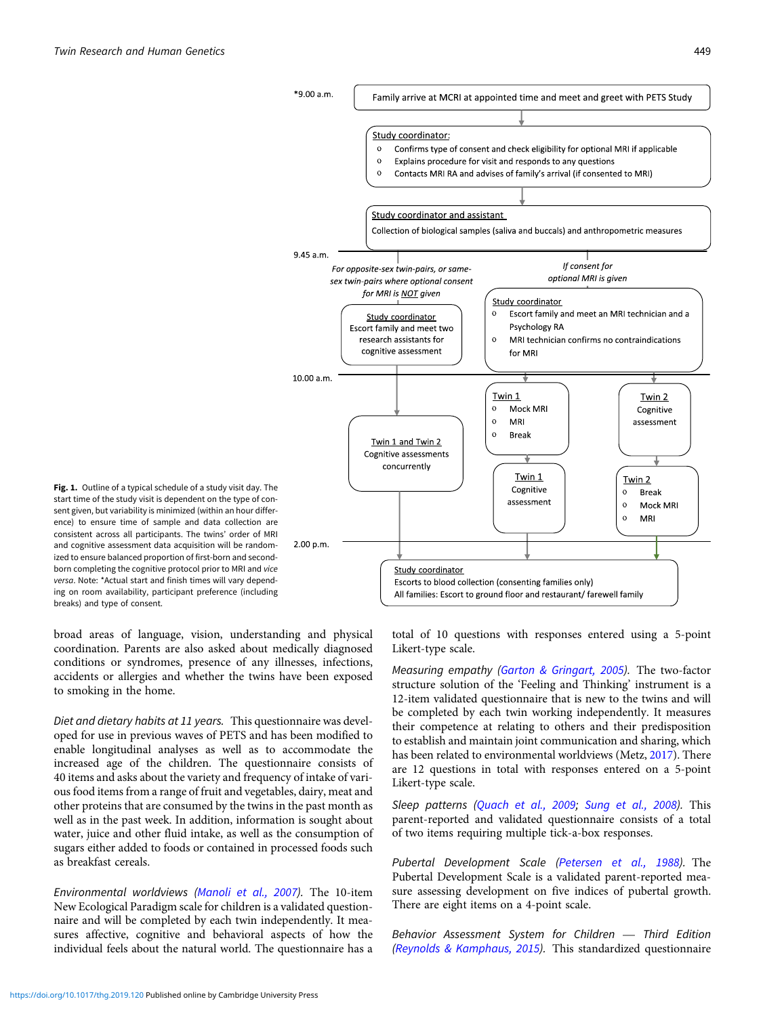<span id="page-3-0"></span>

Fig. 1. Outline of a typical schedule of a study visit day. The start time of the study visit is dependent on the type of consent given, but variability is minimized (within an hour difference) to ensure time of sample and data collection are consistent across all participants. The twins' order of MRI and cognitive assessment data acquisition will be randomized to ensure balanced proportion of first-born and secondborn completing the cognitive protocol prior to MRI and vice versa. Note: \*Actual start and finish times will vary depending on room availability, participant preference (including breaks) and type of consent.

broad areas of language, vision, understanding and physical coordination. Parents are also asked about medically diagnosed conditions or syndromes, presence of any illnesses, infections, accidents or allergies and whether the twins have been exposed to smoking in the home.

Diet and dietary habits at 11 years. This questionnaire was developed for use in previous waves of PETS and has been modified to enable longitudinal analyses as well as to accommodate the increased age of the children. The questionnaire consists of 40 items and asks about the variety and frequency of intake of various food items from a range of fruit and vegetables, dairy, meat and other proteins that are consumed by the twins in the past month as well as in the past week. In addition, information is sought about water, juice and other fluid intake, as well as the consumption of sugars either added to foods or contained in processed foods such as breakfast cereals.

Environmental worldviews [\(Manoli et al., 2007](#page-7-0)). The 10-item New Ecological Paradigm scale for children is a validated questionnaire and will be completed by each twin independently. It measures affective, cognitive and behavioral aspects of how the individual feels about the natural world. The questionnaire has a total of 10 questions with responses entered using a 5-point Likert-type scale.

Measuring empathy ([Garton & Gringart, 2005](#page-7-0)). The two-factor structure solution of the 'Feeling and Thinking' instrument is a 12-item validated questionnaire that is new to the twins and will be completed by each twin working independently. It measures their competence at relating to others and their predisposition to establish and maintain joint communication and sharing, which has been related to environmental worldviews (Metz, [2017](#page-7-0)). There are 12 questions in total with responses entered on a 5-point Likert-type scale.

Sleep patterns [\(Quach et al., 2009](#page-7-0); [Sung et al., 2008](#page-7-0)). This parent-reported and validated questionnaire consists of a total of two items requiring multiple tick-a-box responses.

Pubertal Development Scale [\(Petersen et al., 1988](#page-7-0)). The Pubertal Development Scale is a validated parent-reported mea-Fubertal Development ocale is a vanitated parent-reported inter-<br>sure assessing development on five indices of pubertal growth.<br>There are eight items on a 4-point scale.<br>Behavior Assessment System for Children — Third Edit There are eight items on a 4-point scale.

([Reynolds & Kamphaus, 2015](#page-7-0)). This standardized questionnaire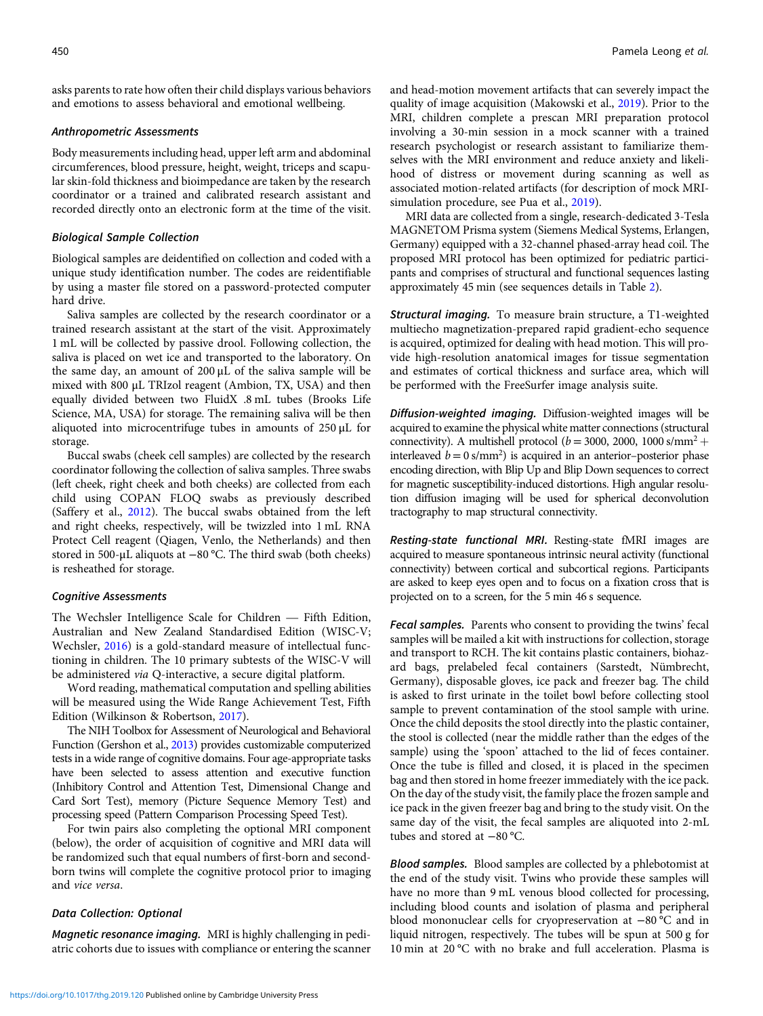asks parents to rate how often their child displays various behaviors and emotions to assess behavioral and emotional wellbeing.

#### Anthropometric Assessments

Body measurements including head, upper left arm and abdominal circumferences, blood pressure, height, weight, triceps and scapular skin-fold thickness and bioimpedance are taken by the research coordinator or a trained and calibrated research assistant and recorded directly onto an electronic form at the time of the visit.

#### Biological Sample Collection

Biological samples are deidentified on collection and coded with a unique study identification number. The codes are reidentifiable by using a master file stored on a password-protected computer hard drive.

Saliva samples are collected by the research coordinator or a trained research assistant at the start of the visit. Approximately 1 mL will be collected by passive drool. Following collection, the saliva is placed on wet ice and transported to the laboratory. On the same day, an amount of 200 μL of the saliva sample will be mixed with 800 μL TRIzol reagent (Ambion, TX, USA) and then equally divided between two FluidX .8 mL tubes (Brooks Life Science, MA, USA) for storage. The remaining saliva will be then aliquoted into microcentrifuge tubes in amounts of 250 μL for storage.

Buccal swabs (cheek cell samples) are collected by the research coordinator following the collection of saliva samples. Three swabs (left cheek, right cheek and both cheeks) are collected from each child using COPAN FLOQ swabs as previously described (Saffery et al., [2012\)](#page-7-0). The buccal swabs obtained from the left and right cheeks, respectively, will be twizzled into 1 mL RNA Protect Cell reagent (Qiagen, Venlo, the Netherlands) and then stored in 500-μL aliquots at −80 °C. The third swab (both cheeks) is resheathed for storage.

#### Cognitive Assessments

The Wechsler Intelligence Scale for Children — Fifth Edition, Australian and New Zealand Standardised Edition (WISC-V; Wechsler, [2016](#page-7-0)) is a gold-standard measure of intellectual functioning in children. The 10 primary subtests of the WISC-V will be administered via Q-interactive, a secure digital platform.

Word reading, mathematical computation and spelling abilities will be measured using the Wide Range Achievement Test, Fifth Edition (Wilkinson & Robertson, [2017](#page-7-0)).

The NIH Toolbox for Assessment of Neurological and Behavioral Function (Gershon et al., [2013](#page-7-0)) provides customizable computerized tests in a wide range of cognitive domains. Four age-appropriate tasks have been selected to assess attention and executive function (Inhibitory Control and Attention Test, Dimensional Change and Card Sort Test), memory (Picture Sequence Memory Test) and processing speed (Pattern Comparison Processing Speed Test).

For twin pairs also completing the optional MRI component (below), the order of acquisition of cognitive and MRI data will be randomized such that equal numbers of first-born and secondborn twins will complete the cognitive protocol prior to imaging and vice versa.

#### Data Collection: Optional

Magnetic resonance imaging. MRI is highly challenging in pediatric cohorts due to issues with compliance or entering the scanner and head-motion movement artifacts that can severely impact the quality of image acquisition (Makowski et al., [2019\)](#page-7-0). Prior to the MRI, children complete a prescan MRI preparation protocol involving a 30-min session in a mock scanner with a trained research psychologist or research assistant to familiarize themselves with the MRI environment and reduce anxiety and likelihood of distress or movement during scanning as well as associated motion-related artifacts (for description of mock MRIsimulation procedure, see Pua et al., [2019](#page-7-0)).

MRI data are collected from a single, research-dedicated 3-Tesla MAGNETOM Prisma system (Siemens Medical Systems, Erlangen, Germany) equipped with a 32-channel phased-array head coil. The proposed MRI protocol has been optimized for pediatric participants and comprises of structural and functional sequences lasting approximately 45 min (see sequences details in Table [2](#page-5-0)).

Structural imaging. To measure brain structure, a T1-weighted multiecho magnetization-prepared rapid gradient-echo sequence is acquired, optimized for dealing with head motion. This will provide high-resolution anatomical images for tissue segmentation and estimates of cortical thickness and surface area, which will be performed with the FreeSurfer image analysis suite.

Diffusion-weighted imaging. Diffusion-weighted images will be acquired to examine the physical white matter connections (structural connectivity). A multishell protocol ( $b = 3000$ , 2000, 1000 s/mm<sup>2</sup> + interleaved  $b = 0 \text{ s/mm}^2$ ) is acquired in an anterior-posterior phase encoding direction, with Blip Up and Blip Down sequences to correct for magnetic susceptibility-induced distortions. High angular resolution diffusion imaging will be used for spherical deconvolution tractography to map structural connectivity.

Resting-state functional MRI. Resting-state fMRI images are acquired to measure spontaneous intrinsic neural activity (functional connectivity) between cortical and subcortical regions. Participants are asked to keep eyes open and to focus on a fixation cross that is projected on to a screen, for the 5 min 46 s sequence.

Fecal samples. Parents who consent to providing the twins' fecal samples will be mailed a kit with instructions for collection, storage and transport to RCH. The kit contains plastic containers, biohazard bags, prelabeled fecal containers (Sarstedt, Nümbrecht, Germany), disposable gloves, ice pack and freezer bag. The child is asked to first urinate in the toilet bowl before collecting stool sample to prevent contamination of the stool sample with urine. Once the child deposits the stool directly into the plastic container, the stool is collected (near the middle rather than the edges of the sample) using the 'spoon' attached to the lid of feces container. Once the tube is filled and closed, it is placed in the specimen bag and then stored in home freezer immediately with the ice pack. On the day of the study visit, the family place the frozen sample and ice pack in the given freezer bag and bring to the study visit. On the same day of the visit, the fecal samples are aliquoted into 2-mL tubes and stored at −80 °C.

Blood samples. Blood samples are collected by a phlebotomist at the end of the study visit. Twins who provide these samples will have no more than 9 mL venous blood collected for processing, including blood counts and isolation of plasma and peripheral blood mononuclear cells for cryopreservation at −80 °C and in liquid nitrogen, respectively. The tubes will be spun at 500 g for 10 min at 20 °C with no brake and full acceleration. Plasma is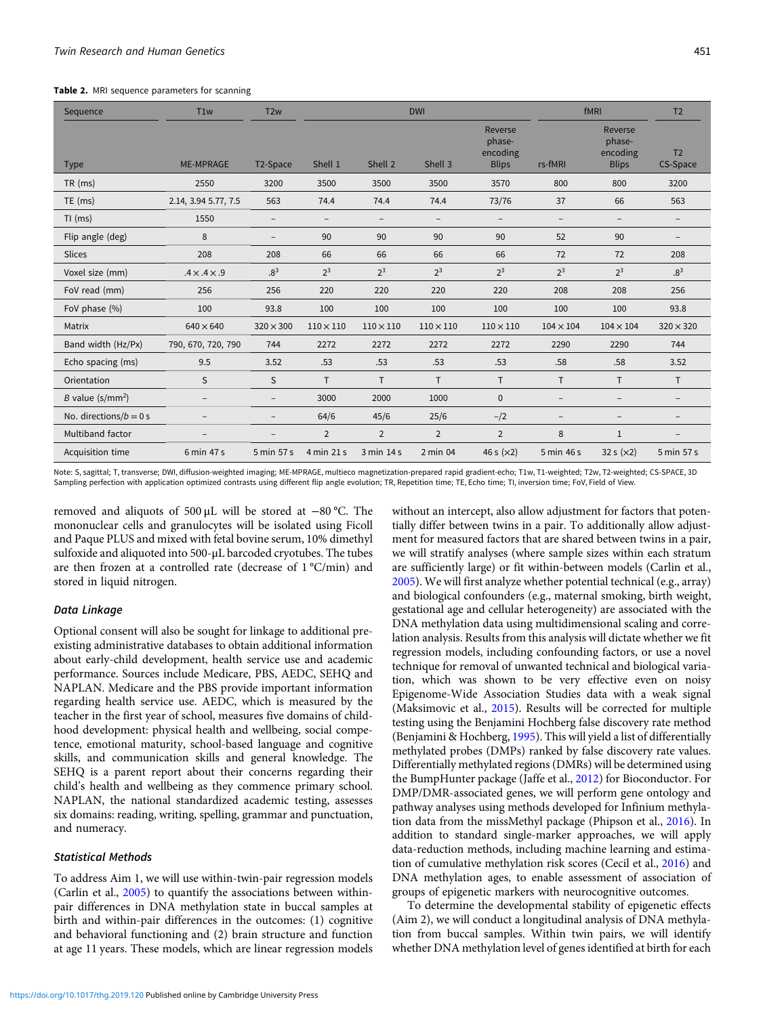<span id="page-5-0"></span>Table 2. MRI sequence parameters for scanning

| Sequence                  | T <sub>1w</sub>          | T <sub>2w</sub>          | <b>DWI</b>               |                          |                  |                                               | fMRI                     |                                               | T <sub>2</sub>             |
|---------------------------|--------------------------|--------------------------|--------------------------|--------------------------|------------------|-----------------------------------------------|--------------------------|-----------------------------------------------|----------------------------|
| <b>Type</b>               | <b>ME-MPRAGE</b>         | T2-Space                 | Shell 1                  | Shell 2                  | Shell 3          | Reverse<br>phase-<br>encoding<br><b>Blips</b> | rs-fMRI                  | Reverse<br>phase-<br>encoding<br><b>Blips</b> | T <sub>2</sub><br>CS-Space |
| $TR$ (ms)                 | 2550                     | 3200                     | 3500                     | 3500                     | 3500             | 3570                                          | 800                      | 800                                           | 3200                       |
| $TE$ (ms)                 | 2.14, 3.94 5.77, 7.5     | 563                      | 74.4                     | 74.4                     | 74.4             | 73/76                                         | 37                       | 66                                            | 563                        |
| $TI$ (ms)                 | 1550                     | $\overline{\phantom{0}}$ | $\overline{\phantom{a}}$ | $\overline{\phantom{0}}$ |                  | $\qquad \qquad -$                             | $\overline{\phantom{a}}$ | $\qquad \qquad -$                             | $\overline{\phantom{0}}$   |
| Flip angle (deg)          | 8                        | $\overline{\phantom{0}}$ | 90                       | 90                       | 90               | 90                                            | 52                       | 90                                            | $\overline{\phantom{m}}$   |
| Slices                    | 208                      | 208                      | 66                       | 66                       | 66               | 66                                            | 72                       | 72                                            | 208                        |
| Voxel size (mm)           | $.4 \times .4 \times .9$ | $.8^{3}$                 | $2^3$                    | $2^3$                    | $2^3$            | $2^3$                                         | $2^3$                    | $2^3$                                         | $.8^{3}$                   |
| FoV read (mm)             | 256                      | 256                      | 220                      | 220                      | 220              | 220                                           | 208                      | 208                                           | 256                        |
| FoV phase (%)             | 100                      | 93.8                     | 100                      | 100                      | 100              | 100                                           | 100                      | 100                                           | 93.8                       |
| Matrix                    | $640 \times 640$         | $320 \times 300$         | $110 \times 110$         | $110 \times 110$         | $110 \times 110$ | $110 \times 110$                              | $104 \times 104$         | $104 \times 104$                              | $320 \times 320$           |
| Band width (Hz/Px)        | 790, 670, 720, 790       | 744                      | 2272                     | 2272                     | 2272             | 2272                                          | 2290                     | 2290                                          | 744                        |
| Echo spacing (ms)         | 9.5                      | 3.52                     | .53                      | .53                      | .53              | .53                                           | .58                      | .58                                           | 3.52                       |
| Orientation               | S                        | S                        | $\mathsf{T}$             | T.                       | $\mathsf{T}$     | $\mathsf{T}$                                  | $\mathsf{T}$             | $\mathsf{T}$                                  | T.                         |
| B value $(s/mm^2)$        | $\overline{\phantom{m}}$ | $\overline{\phantom{0}}$ | 3000                     | 2000                     | 1000             | $\mathbf{0}$                                  | $\qquad \qquad -$        |                                               | $\overline{a}$             |
| No. directions/ $b = 0$ s | $\overline{\phantom{a}}$ |                          | 64/6                     | 45/6                     | 25/6             | $-1/2$                                        | $\overline{\phantom{m}}$ | $\qquad \qquad -$                             | $\overline{a}$             |
| Multiband factor          |                          |                          | $\overline{2}$           | $\overline{2}$           | 2                | $\overline{2}$                                | 8                        | $\mathbf 1$                                   |                            |
| Acquisition time          | 6 min 47 s               | 5 min 57 s               | 4 min 21 s               | 3 min 14 s               | 2 min 04         | 46 s $(x2)$                                   | 5 min 46 s               | 32 s $(x2)$                                   | 5 min 57 s                 |

Note: S, sagittal; T, transverse; DWI, diffusion-weighted imaging; ME-MPRAGE, multieco magnetization-prepared rapid gradient-echo; T1w, T1-weighted; T2w, T2-weighted; CS-SPACE, 3D Sampling perfection with application optimized contrasts using different flip angle evolution; TR, Repetition time; TE, Echo time; TI, inversion time; FoV, Field of View.

removed and aliquots of 500 μL will be stored at −80 °C. The mononuclear cells and granulocytes will be isolated using Ficoll and Paque PLUS and mixed with fetal bovine serum, 10% dimethyl sulfoxide and aliquoted into 500-μL barcoded cryotubes. The tubes are then frozen at a controlled rate (decrease of 1 °C/min) and stored in liquid nitrogen.

# Data Linkage

Optional consent will also be sought for linkage to additional preexisting administrative databases to obtain additional information about early-child development, health service use and academic performance. Sources include Medicare, PBS, AEDC, SEHQ and NAPLAN. Medicare and the PBS provide important information regarding health service use. AEDC, which is measured by the teacher in the first year of school, measures five domains of childhood development: physical health and wellbeing, social competence, emotional maturity, school-based language and cognitive skills, and communication skills and general knowledge. The SEHQ is a parent report about their concerns regarding their child's health and wellbeing as they commence primary school. NAPLAN, the national standardized academic testing, assesses six domains: reading, writing, spelling, grammar and punctuation, and numeracy.

# Statistical Methods

To address Aim 1, we will use within-twin-pair regression models (Carlin et al., [2005](#page-6-0)) to quantify the associations between withinpair differences in DNA methylation state in buccal samples at birth and within-pair differences in the outcomes: (1) cognitive and behavioral functioning and (2) brain structure and function at age 11 years. These models, which are linear regression models without an intercept, also allow adjustment for factors that potentially differ between twins in a pair. To additionally allow adjustment for measured factors that are shared between twins in a pair, we will stratify analyses (where sample sizes within each stratum are sufficiently large) or fit within-between models (Carlin et al., [2005](#page-6-0)). We will first analyze whether potential technical (e.g., array) and biological confounders (e.g., maternal smoking, birth weight, gestational age and cellular heterogeneity) are associated with the DNA methylation data using multidimensional scaling and correlation analysis. Results from this analysis will dictate whether we fit regression models, including confounding factors, or use a novel technique for removal of unwanted technical and biological variation, which was shown to be very effective even on noisy Epigenome-Wide Association Studies data with a weak signal (Maksimovic et al., [2015\)](#page-7-0). Results will be corrected for multiple testing using the Benjamini Hochberg false discovery rate method (Benjamini & Hochberg, [1995](#page-6-0)). This will yield a list of differentially methylated probes (DMPs) ranked by false discovery rate values. Differentially methylated regions (DMRs) will be determined using the BumpHunter package (Jaffe et al., [2012](#page-7-0)) for Bioconductor. For DMP/DMR-associated genes, we will perform gene ontology and pathway analyses using methods developed for Infinium methylation data from the missMethyl package (Phipson et al., [2016](#page-7-0)). In addition to standard single-marker approaches, we will apply data-reduction methods, including machine learning and estimation of cumulative methylation risk scores (Cecil et al., [2016\)](#page-6-0) and DNA methylation ages, to enable assessment of association of groups of epigenetic markers with neurocognitive outcomes.

To determine the developmental stability of epigenetic effects (Aim 2), we will conduct a longitudinal analysis of DNA methylation from buccal samples. Within twin pairs, we will identify whether DNA methylation level of genes identified at birth for each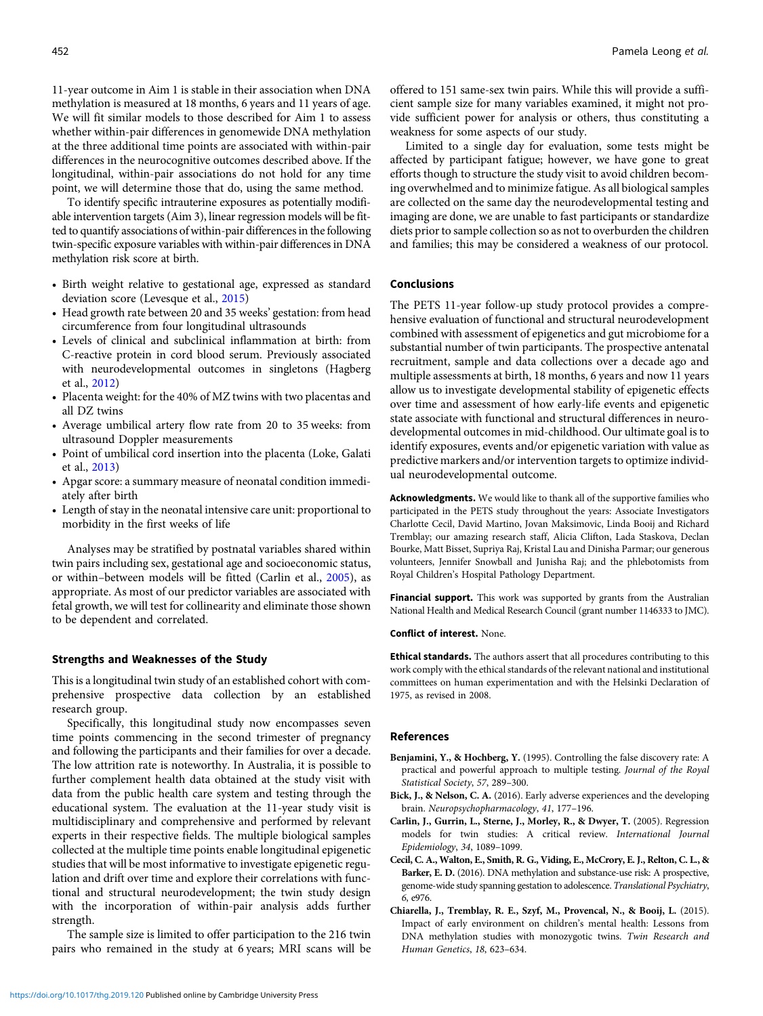<span id="page-6-0"></span>11-year outcome in Aim 1 is stable in their association when DNA methylation is measured at 18 months, 6 years and 11 years of age. We will fit similar models to those described for Aim 1 to assess whether within-pair differences in genomewide DNA methylation at the three additional time points are associated with within-pair differences in the neurocognitive outcomes described above. If the longitudinal, within-pair associations do not hold for any time point, we will determine those that do, using the same method.

To identify specific intrauterine exposures as potentially modifiable intervention targets (Aim 3), linear regression models will be fitted to quantify associations of within-pair differences in the following twin-specific exposure variables with within-pair differences in DNA methylation risk score at birth.

- Birth weight relative to gestational age, expressed as standard deviation score (Levesque et al., [2015](#page-7-0))
- Head growth rate between 20 and 35 weeks' gestation: from head circumference from four longitudinal ultrasounds
- Levels of clinical and subclinical inflammation at birth: from C-reactive protein in cord blood serum. Previously associated with neurodevelopmental outcomes in singletons (Hagberg et al., [2012\)](#page-7-0)
- Placenta weight: for the 40% of MZ twins with two placentas and all DZ twins
- Average umbilical artery flow rate from 20 to 35 weeks: from ultrasound Doppler measurements
- Point of umbilical cord insertion into the placenta (Loke, Galati et al., [2013\)](#page-7-0)
- Apgar score: a summary measure of neonatal condition immediately after birth
- Length of stay in the neonatal intensive care unit: proportional to morbidity in the first weeks of life

Analyses may be stratified by postnatal variables shared within twin pairs including sex, gestational age and socioeconomic status, or within–between models will be fitted (Carlin et al., 2005), as appropriate. As most of our predictor variables are associated with fetal growth, we will test for collinearity and eliminate those shown to be dependent and correlated.

#### Strengths and Weaknesses of the Study

This is a longitudinal twin study of an established cohort with comprehensive prospective data collection by an established research group.

Specifically, this longitudinal study now encompasses seven time points commencing in the second trimester of pregnancy and following the participants and their families for over a decade. The low attrition rate is noteworthy. In Australia, it is possible to further complement health data obtained at the study visit with data from the public health care system and testing through the educational system. The evaluation at the 11-year study visit is multidisciplinary and comprehensive and performed by relevant experts in their respective fields. The multiple biological samples collected at the multiple time points enable longitudinal epigenetic studies that will be most informative to investigate epigenetic regulation and drift over time and explore their correlations with functional and structural neurodevelopment; the twin study design with the incorporation of within-pair analysis adds further strength.

The sample size is limited to offer participation to the 216 twin pairs who remained in the study at 6 years; MRI scans will be offered to 151 same-sex twin pairs. While this will provide a sufficient sample size for many variables examined, it might not provide sufficient power for analysis or others, thus constituting a weakness for some aspects of our study.

Limited to a single day for evaluation, some tests might be affected by participant fatigue; however, we have gone to great efforts though to structure the study visit to avoid children becoming overwhelmed and to minimize fatigue. As all biological samples are collected on the same day the neurodevelopmental testing and imaging are done, we are unable to fast participants or standardize diets prior to sample collection so as not to overburden the children and families; this may be considered a weakness of our protocol.

# Conclusions

The PETS 11-year follow-up study protocol provides a comprehensive evaluation of functional and structural neurodevelopment combined with assessment of epigenetics and gut microbiome for a substantial number of twin participants. The prospective antenatal recruitment, sample and data collections over a decade ago and multiple assessments at birth, 18 months, 6 years and now 11 years allow us to investigate developmental stability of epigenetic effects over time and assessment of how early-life events and epigenetic state associate with functional and structural differences in neurodevelopmental outcomes in mid-childhood. Our ultimate goal is to identify exposures, events and/or epigenetic variation with value as predictive markers and/or intervention targets to optimize individual neurodevelopmental outcome.

Acknowledgments. We would like to thank all of the supportive families who participated in the PETS study throughout the years: Associate Investigators Charlotte Cecil, David Martino, Jovan Maksimovic, Linda Booij and Richard Tremblay; our amazing research staff, Alicia Clifton, Lada Staskova, Declan Bourke, Matt Bisset, Supriya Raj, Kristal Lau and Dinisha Parmar; our generous volunteers, Jennifer Snowball and Junisha Raj; and the phlebotomists from Royal Children's Hospital Pathology Department.

Financial support. This work was supported by grants from the Australian National Health and Medical Research Council (grant number 1146333 to JMC).

#### Conflict of interest. None.

Ethical standards. The authors assert that all procedures contributing to this work comply with the ethical standards of the relevant national and institutional committees on human experimentation and with the Helsinki Declaration of 1975, as revised in 2008.

#### References

- Benjamini, Y., & Hochberg, Y. (1995). Controlling the false discovery rate: A practical and powerful approach to multiple testing. Journal of the Royal Statistical Society, 57, 289–300.
- Bick, J., & Nelson, C. A. (2016). Early adverse experiences and the developing brain. Neuropsychopharmacology, 41, 177–196.
- Carlin, J., Gurrin, L., Sterne, J., Morley, R., & Dwyer, T. (2005). Regression models for twin studies: A critical review. International Journal Epidemiology, 34, 1089–1099.
- Cecil, C. A., Walton, E., Smith, R. G., Viding, E., McCrory, E. J., Relton, C. L., & Barker, E. D. (2016). DNA methylation and substance-use risk: A prospective, genome-wide study spanning gestation to adolescence. Translational Psychiatry, 6, e976.
- Chiarella, J., Tremblay, R. E., Szyf, M., Provencal, N., & Booij, L. (2015). Impact of early environment on children's mental health: Lessons from DNA methylation studies with monozygotic twins. Twin Research and Human Genetics, 18, 623–634.